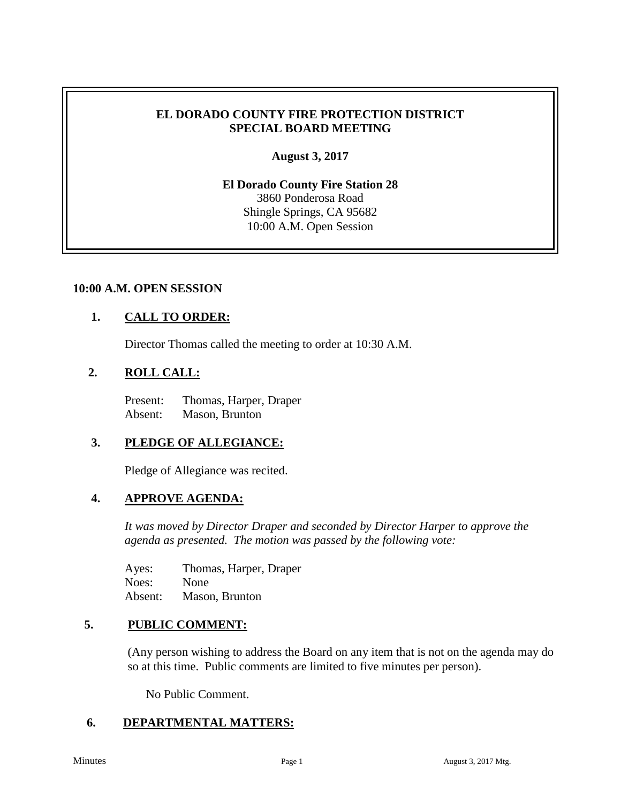# **EL DORADO COUNTY FIRE PROTECTION DISTRICT SPECIAL BOARD MEETING**

## **August 3, 2017**

### **El Dorado County Fire Station 28** 3860 Ponderosa Road Shingle Springs, CA 95682 10:00 A.M. Open Session

#### **10:00 A.M. OPEN SESSION**

### **1. CALL TO ORDER:**

Director Thomas called the meeting to order at 10:30 A.M.

### **2. ROLL CALL:**

Present: Thomas, Harper, Draper Absent: Mason, Brunton

### **3. PLEDGE OF ALLEGIANCE:**

Pledge of Allegiance was recited.

### **4. APPROVE AGENDA:**

*It was moved by Director Draper and seconded by Director Harper to approve the agenda as presented. The motion was passed by the following vote:*

Ayes: Thomas, Harper, Draper Noes: None Absent: Mason, Brunton

### **5. PUBLIC COMMENT:**

(Any person wishing to address the Board on any item that is not on the agenda may do so at this time. Public comments are limited to five minutes per person).

No Public Comment.

# **6. DEPARTMENTAL MATTERS:**